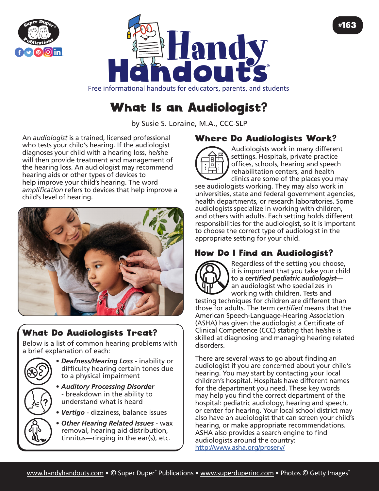



Free informational handouts for educators, parents, and students

# What Is an Audiologist?

by Susie S. Loraine, M.A., CCC-SLP

An *audiologist* is a trained, licensed professional who tests your child's hearing. If the audiologist diagnoses your child with a hearing loss, he/she will then provide treatment and management of the hearing loss. An audiologist may recommend hearing aids or other types of devices to help improve your child's hearing. The word *amplification* refers to devices that help improve a child's level of hearing.



## What Do Audiologists Treat?

Below is a list of common hearing problems with a brief explanation of each:

- 
- *Deafness/Hearing Loss* inability or difficulty hearing certain tones due to a physical impairment
	- *Auditory Processing Disorder* - breakdown in the ability to understand what is heard
	- *Vertigo* dizziness, balance issues
	- *Other Hearing Related Issues* wax removal, hearing aid distribution, tinnitus—ringing in the ear(s), etc.

#### Where Do Audiologists Work?



Audiologists work in many different settings. Hospitals, private practice offices, schools, hearing and speech rehabilitation centers, and health clinics are some of the places you may

#163

see audiologists working. They may also work in universities, state and federal government agencies, health departments, or research laboratories. Some audiologists specialize in working with children, and others with adults. Each setting holds different responsibilities for the audiologist, so it is important to choose the correct type of audiologist in the appropriate setting for your child.

### How Do I Find an Audiologist?



Regardless of the setting you choose, it is important that you take your child to a *certified pediatric audiologist* an audiologist who specializes in working with children. Tests and

testing techniques for children are different than those for adults. The term *certified* means that the American Speech-Language-Hearing Association (ASHA) has given the audiologist a Certificate of Clinical Competence (CCC) stating that he/she is skilled at diagnosing and managing hearing related disorders.

There are several ways to go about finding an audiologist if you are concerned about your child's hearing. You may start by contacting your local children's hospital. Hospitals have different names for the department you need. These key words may help you find the correct department of the hospital: pediatric audiology, hearing and speech, or center for hearing. Your local school district may also have an audiologist that can screen your child's hearing, or make appropriate recommendations. ASHA also provides a search engine to find audiologists around the country: <http://www.asha.org/proserv/>